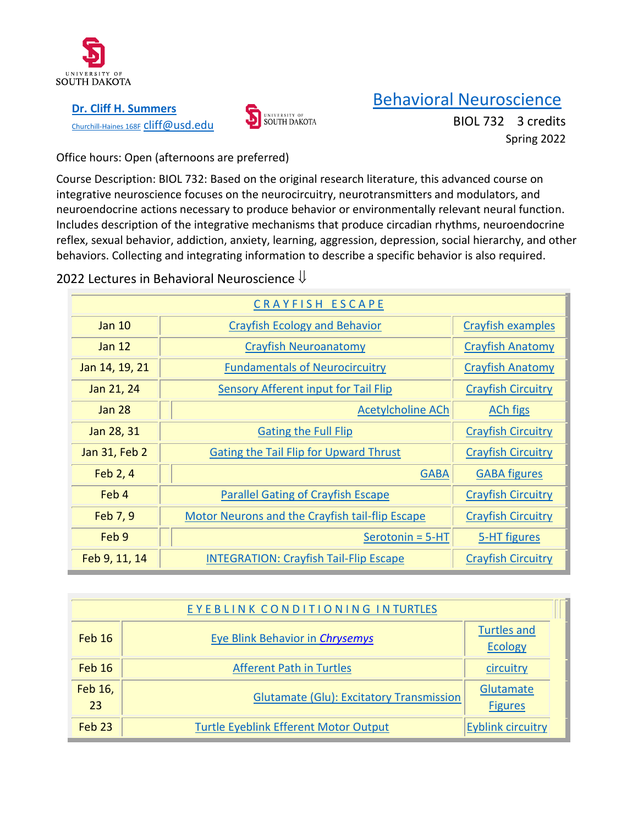

**[Dr. Cliff H. Summers](http://usdbiology.com/cliff)** [Churchill-Haines 168F](http://usdbiology.com/cliff) Cliff@usd.edu



# [Behavioral Neuroscience](http://usdbiology.com/cliff/Courses/Behavioral%20Neuroscience/index.html)

BIOL 732 3 credits Spring 2022

Office hours: Open (afternoons are preferred)

Course Description: BIOL 732: Based on the original research literature, this advanced course on integrative neuroscience focuses on the neurocircuitry, neurotransmitters and modulators, and neuroendocrine actions necessary to produce behavior or environmentally relevant neural function. Includes description of the integrative mechanisms that produce circadian rhythms, neuroendocrine reflex, sexual behavior, addiction, anxiety, learning, aggression, depression, social hierarchy, and other behaviors. Collecting and integrating information to describe a specific behavior is also required.

## 2022 Lectures in Behavioral Neuroscience  $\Downarrow$

| CRAYFISH ESCAPE |                                                 |                           |  |
|-----------------|-------------------------------------------------|---------------------------|--|
| Jan $10$        | <b>Crayfish Ecology and Behavior</b>            | Crayfish examples         |  |
| Jan $12$        | <b>Crayfish Neuroanatomy</b>                    | <b>Crayfish Anatomy</b>   |  |
| Jan 14, 19, 21  | <b>Fundamentals of Neurocircuitry</b>           | <b>Crayfish Anatomy</b>   |  |
| Jan 21, 24      | Sensory Afferent input for Tail Flip            | <b>Crayfish Circuitry</b> |  |
| <b>Jan 28</b>   | <b>Acetylcholine ACh</b>                        | <b>ACh figs</b>           |  |
| Jan 28, 31      | <b>Gating the Full Flip</b>                     | <b>Crayfish Circuitry</b> |  |
| Jan 31, Feb 2   | <b>Gating the Tail Flip for Upward Thrust</b>   | <b>Crayfish Circuitry</b> |  |
| Feb 2, 4        | <b>GABA</b>                                     | <b>GABA figures</b>       |  |
| Feb 4           | <b>Parallel Gating of Crayfish Escape</b>       | <b>Crayfish Circuitry</b> |  |
| Feb 7, 9        | Motor Neurons and the Crayfish tail-flip Escape | <b>Crayfish Circuitry</b> |  |
| Feb 9           | $Serotonin = 5-HT$                              | 5-HT figures              |  |
| Feb 9, 11, 14   | <b>INTEGRATION: Crayfish Tail-Flip Escape</b>   | <b>Crayfish Circuitry</b> |  |

| EYEBLINK CONDITIONING INTURTLES |                                                 |                                      |
|---------------------------------|-------------------------------------------------|--------------------------------------|
| Feb 16                          | <b>Eye Blink Behavior in Chrysemys</b>          | <b>Turtles and</b><br><b>Ecology</b> |
| Fe <sub>b</sub> 16              | <b>Afferent Path in Turtles</b>                 | circuitry                            |
| Feb 16,<br>23                   | <b>Glutamate (Glu): Excitatory Transmission</b> | Glutamate<br><b>Figures</b>          |
| Feb <sub>23</sub>               | <b>Turtle Eyeblink Efferent Motor Output</b>    | <b>Eyblink circuitry</b>             |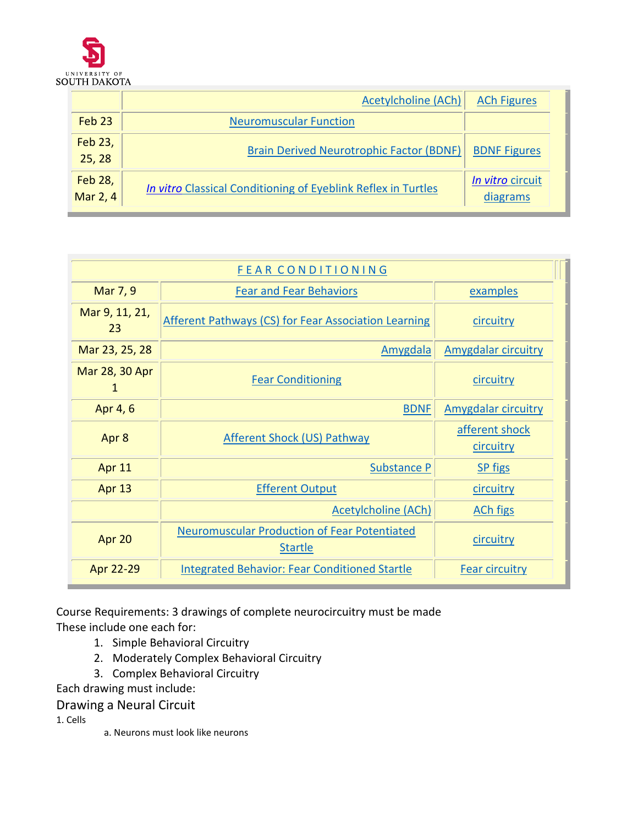

|                     | <b>Acetylcholine (ACh)</b>                                    | <b>ACh Figures</b>           |
|---------------------|---------------------------------------------------------------|------------------------------|
| Feb <sub>23</sub>   | <b>Neuromuscular Function</b>                                 |                              |
| Feb 23,<br>25, 28   | <b>Brain Derived Neurotrophic Factor (BDNF)</b>               | <b>BDNF</b> Figures          |
| Feb 28,<br>Mar 2, 4 | In vitro Classical Conditioning of Eyeblink Reflex in Turtles | In vitro circuit<br>diagrams |

| <b>FEAR CONDITIONING</b> |                                                                       |                             |  |  |
|--------------------------|-----------------------------------------------------------------------|-----------------------------|--|--|
| Mar 7, 9                 | <b>Fear and Fear Behaviors</b>                                        | examples                    |  |  |
| Mar 9, 11, 21,<br>23     | <b>Afferent Pathways (CS) for Fear Association Learning</b>           | circuitry                   |  |  |
| Mar 23, 25, 28           | Amygdala                                                              | <b>Amygdalar circuitry</b>  |  |  |
| Mar 28, 30 Apr<br>1      | <b>Fear Conditioning</b>                                              | circuitry                   |  |  |
| Apr 4, 6                 | <b>BDNF</b>                                                           | <b>Amygdalar circuitry</b>  |  |  |
| Apr 8                    | <b>Afferent Shock (US) Pathway</b>                                    | afferent shock<br>circuitry |  |  |
| Apr 11                   | <b>Substance P</b>                                                    | <b>SP</b> figs              |  |  |
| Apr 13                   | <b>Efferent Output</b>                                                | circuitry                   |  |  |
|                          | <b>Acetylcholine (ACh)</b>                                            | <b>ACh figs</b>             |  |  |
| Apr 20                   | <b>Neuromuscular Production of Fear Potentiated</b><br><b>Startle</b> | circuitry                   |  |  |
| Apr 22-29                | <b>Integrated Behavior: Fear Conditioned Startle</b>                  | <b>Fear circuitry</b>       |  |  |

Course Requirements: 3 drawings of complete neurocircuitry must be made These include one each for:

- 1. Simple Behavioral Circuitry
- 2. Moderately Complex Behavioral Circuitry
- 3. Complex Behavioral Circuitry

Each drawing must include:

Drawing a Neural Circuit

1. Cells

a. Neurons must look like neurons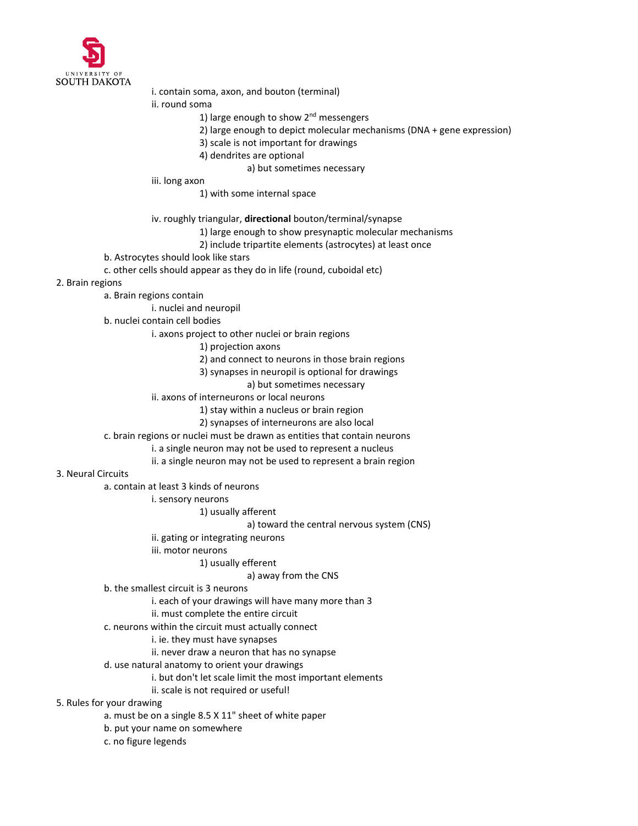

i. contain soma, axon, and bouton (terminal)

ii. round soma

- 1) large enough to show  $2<sup>nd</sup>$  messengers
- 2) large enough to depict molecular mechanisms (DNA + gene expression)
- 3) scale is not important for drawings
- 4) dendrites are optional
	- a) but sometimes necessary
- iii. long axon
	- 1) with some internal space
- iv. roughly triangular, **directional** bouton/terminal/synapse
	- 1) large enough to show presynaptic molecular mechanisms
	- 2) include tripartite elements (astrocytes) at least once
- b. Astrocytes should look like stars
- c. other cells should appear as they do in life (round, cuboidal etc)
- 2. Brain regions
	- a. Brain regions contain
		- i. nuclei and neuropil
	- b. nuclei contain cell bodies
		- i. axons project to other nuclei or brain regions
			- 1) projection axons
			- 2) and connect to neurons in those brain regions
			- 3) synapses in neuropil is optional for drawings
				- a) but sometimes necessary
		- ii. axons of interneurons or local neurons
			- 1) stay within a nucleus or brain region
			- 2) synapses of interneurons are also local
	- c. brain regions or nuclei must be drawn as entities that contain neurons
		- i. a single neuron may not be used to represent a nucleus
		- ii. a single neuron may not be used to represent a brain region
- 3. Neural Circuits
	- a. contain at least 3 kinds of neurons
		- i. sensory neurons
			- 1) usually afferent
				- a) toward the central nervous system (CNS)
		- ii. gating or integrating neurons
		- iii. motor neurons
			- 1) usually efferent

#### a) away from the CNS

- b. the smallest circuit is 3 neurons
	- i. each of your drawings will have many more than 3
	- ii. must complete the entire circuit
- c. neurons within the circuit must actually connect
	- i. ie. they must have synapses
	- ii. never draw a neuron that has no synapse
- d. use natural anatomy to orient your drawings
	- i. but don't let scale limit the most important elements
	- ii. scale is not required or useful!
- 5. Rules for your drawing
	- a. must be on a single 8.5 X 11" sheet of white paper
	- b. put your name on somewhere
	- c. no figure legends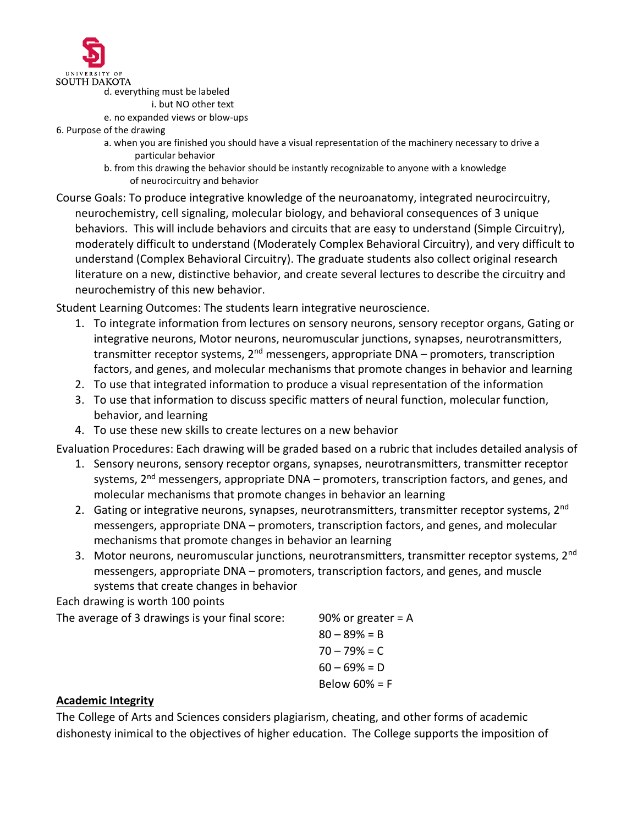

d. everything must be labeled

- i. but NO other text
- e. no expanded views or blow-ups
- 6. Purpose of the drawing
	- a. when you are finished you should have a visual representation of the machinery necessary to drive a particular behavior
	- b. from this drawing the behavior should be instantly recognizable to anyone with a knowledge of neurocircuitry and behavior
- Course Goals: To produce integrative knowledge of the neuroanatomy, integrated neurocircuitry, neurochemistry, cell signaling, molecular biology, and behavioral consequences of 3 unique behaviors. This will include behaviors and circuits that are easy to understand (Simple Circuitry), moderately difficult to understand (Moderately Complex Behavioral Circuitry), and very difficult to understand (Complex Behavioral Circuitry). The graduate students also collect original research literature on a new, distinctive behavior, and create several lectures to describe the circuitry and neurochemistry of this new behavior.

Student Learning Outcomes: The students learn integrative neuroscience.

- 1. To integrate information from lectures on sensory neurons, sensory receptor organs, Gating or integrative neurons, Motor neurons, neuromuscular junctions, synapses, neurotransmitters, transmitter receptor systems, 2<sup>nd</sup> messengers, appropriate DNA – promoters, transcription factors, and genes, and molecular mechanisms that promote changes in behavior and learning
- 2. To use that integrated information to produce a visual representation of the information
- 3. To use that information to discuss specific matters of neural function, molecular function, behavior, and learning
- 4. To use these new skills to create lectures on a new behavior

Evaluation Procedures: Each drawing will be graded based on a rubric that includes detailed analysis of

- 1. Sensory neurons, sensory receptor organs, synapses, neurotransmitters, transmitter receptor systems, 2<sup>nd</sup> messengers, appropriate DNA – promoters, transcription factors, and genes, and molecular mechanisms that promote changes in behavior an learning
- 2. Gating or integrative neurons, synapses, neurotransmitters, transmitter receptor systems, 2<sup>nd</sup> messengers, appropriate DNA – promoters, transcription factors, and genes, and molecular mechanisms that promote changes in behavior an learning
- 3. Motor neurons, neuromuscular junctions, neurotransmitters, transmitter receptor systems, 2<sup>nd</sup> messengers, appropriate DNA – promoters, transcription factors, and genes, and muscle systems that create changes in behavior

Each drawing is worth 100 points

The average of 3 drawings is your final score: 90% or greater  $= A$ 

 $80 - 89% = B$  $70 - 79% = C$  $60 - 69% = D$ Below 60% = F

### **Academic Integrity**

The College of Arts and Sciences considers plagiarism, cheating, and other forms of academic dishonesty inimical to the objectives of higher education. The College supports the imposition of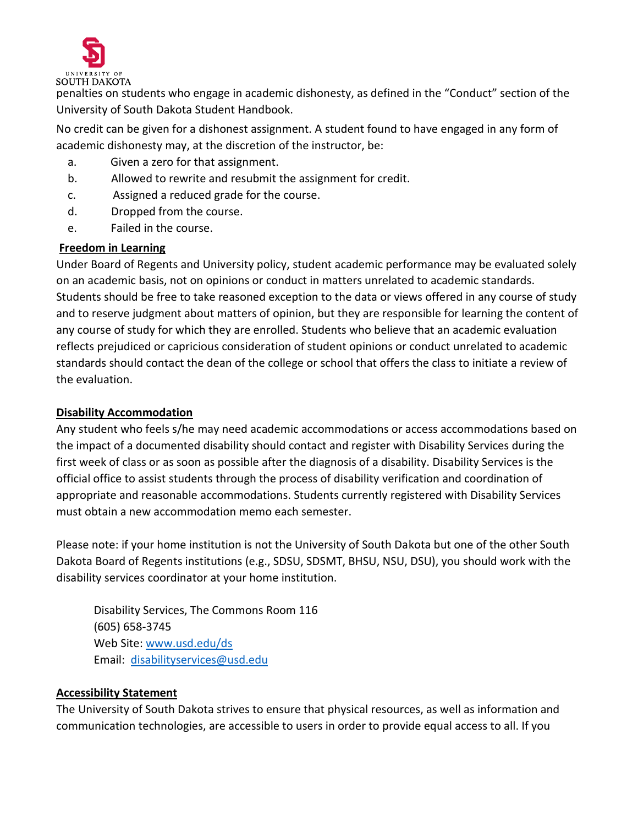

penalties on students who engage in academic dishonesty, as defined in the "Conduct" section of the University of South Dakota Student Handbook.

No credit can be given for a dishonest assignment. A student found to have engaged in any form of academic dishonesty may, at the discretion of the instructor, be:

- a. Given a zero for that assignment.
- b. Allowed to rewrite and resubmit the assignment for credit.
- c. Assigned a reduced grade for the course.
- d. Dropped from the course.
- e. Failed in the course.

#### **Freedom in Learning**

Under Board of Regents and University policy, student academic performance may be evaluated solely on an academic basis, not on opinions or conduct in matters unrelated to academic standards. Students should be free to take reasoned exception to the data or views offered in any course of study and to reserve judgment about matters of opinion, but they are responsible for learning the content of any course of study for which they are enrolled. Students who believe that an academic evaluation reflects prejudiced or capricious consideration of student opinions or conduct unrelated to academic standards should contact the dean of the college or school that offers the class to initiate a review of the evaluation.

#### **Disability Accommodation**

Any student who feels s/he may need academic accommodations or access accommodations based on the impact of a documented disability should contact and register with Disability Services during the first week of class or as soon as possible after the diagnosis of a disability. Disability Services is the official office to assist students through the process of disability verification and coordination of appropriate and reasonable accommodations. Students currently registered with Disability Services must obtain a new accommodation memo each semester.

Please note: if your home institution is not the University of South Dakota but one of the other South Dakota Board of Regents institutions (e.g., SDSU, SDSMT, BHSU, NSU, DSU), you should work with the disability services coordinator at your home institution.

Disability Services, The Commons Room 116 (605) 658-3745 Web Site: [www.usd.edu/ds](http://www.usd.edu/ds)  Email: [disabilityservices@usd.edu](mailto:disabilityservices@usd.edu)

#### **Accessibility Statement**

The University of South Dakota strives to ensure that physical resources, as well as information and communication technologies, are accessible to users in order to provide equal access to all. If you